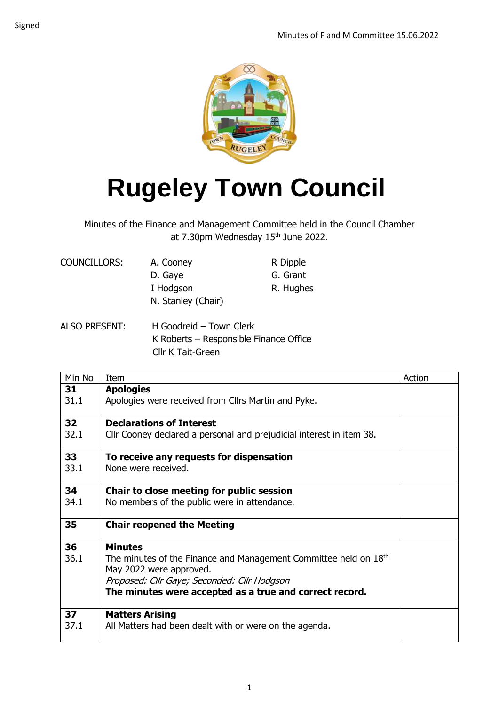

## **Rugeley Town Council**

Minutes of the Finance and Management Committee held in the Council Chamber at 7.30pm Wednesday 15<sup>th</sup> June 2022.

| COUNCILLORS: | A. Cooney          | R Dipple  |
|--------------|--------------------|-----------|
|              | D. Gaye            | G. Grant  |
|              | I Hodgson          | R. Hughes |
|              | N. Stanley (Chair) |           |
|              |                    |           |

ALSO PRESENT: H Goodreid – Town Clerk K Roberts – Responsible Finance Office Cllr K Tait-Green

| Min No          | Item                                                                         | Action |
|-----------------|------------------------------------------------------------------------------|--------|
| 31              | <b>Apologies</b>                                                             |        |
| 31.1            | Apologies were received from Cllrs Martin and Pyke.                          |        |
|                 |                                                                              |        |
| 32 <sub>2</sub> | <b>Declarations of Interest</b>                                              |        |
| 32.1            | Cllr Cooney declared a personal and prejudicial interest in item 38.         |        |
| 33              | To receive any requests for dispensation                                     |        |
| 33.1            | None were received.                                                          |        |
|                 |                                                                              |        |
| 34              | Chair to close meeting for public session                                    |        |
| 34.1            | No members of the public were in attendance.                                 |        |
| 35              |                                                                              |        |
|                 | <b>Chair reopened the Meeting</b>                                            |        |
| 36              | <b>Minutes</b>                                                               |        |
| 36.1            | The minutes of the Finance and Management Committee held on 18 <sup>th</sup> |        |
|                 | May 2022 were approved.                                                      |        |
|                 | Proposed: Cllr Gaye; Seconded: Cllr Hodgson                                  |        |
|                 | The minutes were accepted as a true and correct record.                      |        |
| 37              | <b>Matters Arising</b>                                                       |        |
| 37.1            | All Matters had been dealt with or were on the agenda.                       |        |